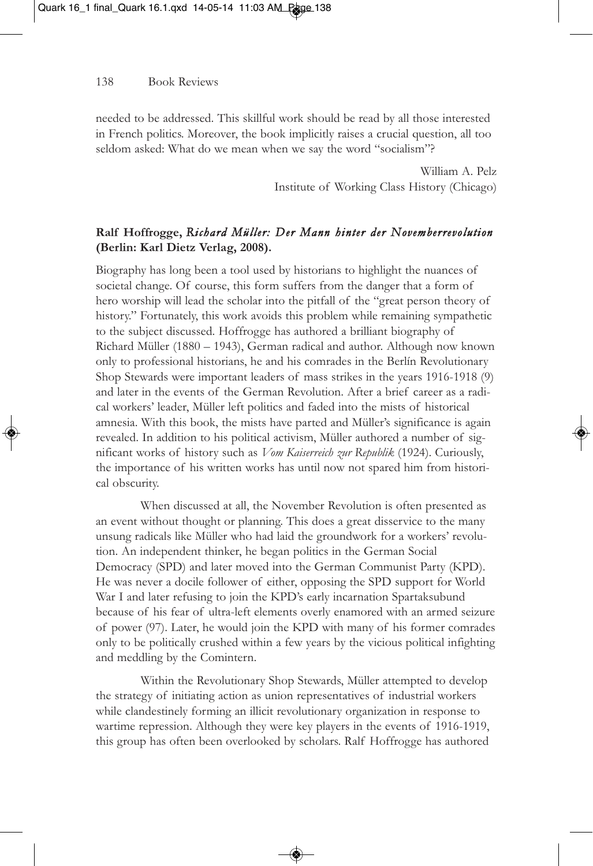## 138 Book Reviews

needed to be addressed. This skillful work should be read by all those interested in French politics. Moreover, the book implicitly raises a crucial question, all too seldom asked: What do we mean when we say the word "socialism"?

> William A. Pelz Institute of Working Class History (Chicago)

## **Ralf Hoffrogge,** *Richard Müller: Der Mann hinter der Novemberrevolution* **(Berlin: Karl Dietz Verlag, 2008).**

Biography has long been a tool used by historians to highlight the nuances of societal change. Of course, this form suffers from the danger that a form of hero worship will lead the scholar into the pitfall of the "great person theory of history." Fortunately, this work avoids this problem while remaining sympathetic to the subject discussed. Hoffrogge has authored a brilliant biography of Richard Müller (1880 – 1943), German radical and author. Although now known only to professional historians, he and his comrades in the Berlín Revolutionary Shop Stewards were important leaders of mass strikes in the years 1916-1918 (9) and later in the events of the German Revolution. After a brief career as a radical workers' leader, Müller left politics and faded into the mists of historical amnesia. With this book, the mists have parted and Müller's significance is again revealed. In addition to his political activism, Müller authored a number of significant works of history such as *Vom Kaiserreich zur Republik* (1924). Curiously, the importance of his written works has until now not spared him from historical obscurity.

When discussed at all, the November Revolution is often presented as an event without thought or planning. This does a great disservice to the many unsung radicals like Müller who had laid the groundwork for a workers' revolution. An independent thinker, he began politics in the German Social Democracy (SPD) and later moved into the German Communist Party (KPD). He was never a docile follower of either, opposing the SPD support for World War I and later refusing to join the KPD's early incarnation Spartaksubund because of his fear of ultra-left elements overly enamored with an armed seizure of power (97). Later, he would join the KPD with many of his former comrades only to be politically crushed within a few years by the vicious political infighting and meddling by the Comintern.

Within the Revolutionary Shop Stewards, Müller attempted to develop the strategy of initiating action as union representatives of industrial workers while clandestinely forming an illicit revolutionary organization in response to wartime repression. Although they were key players in the events of 1916-1919, this group has often been overlooked by scholars. Ralf Hoffrogge has authored

◈